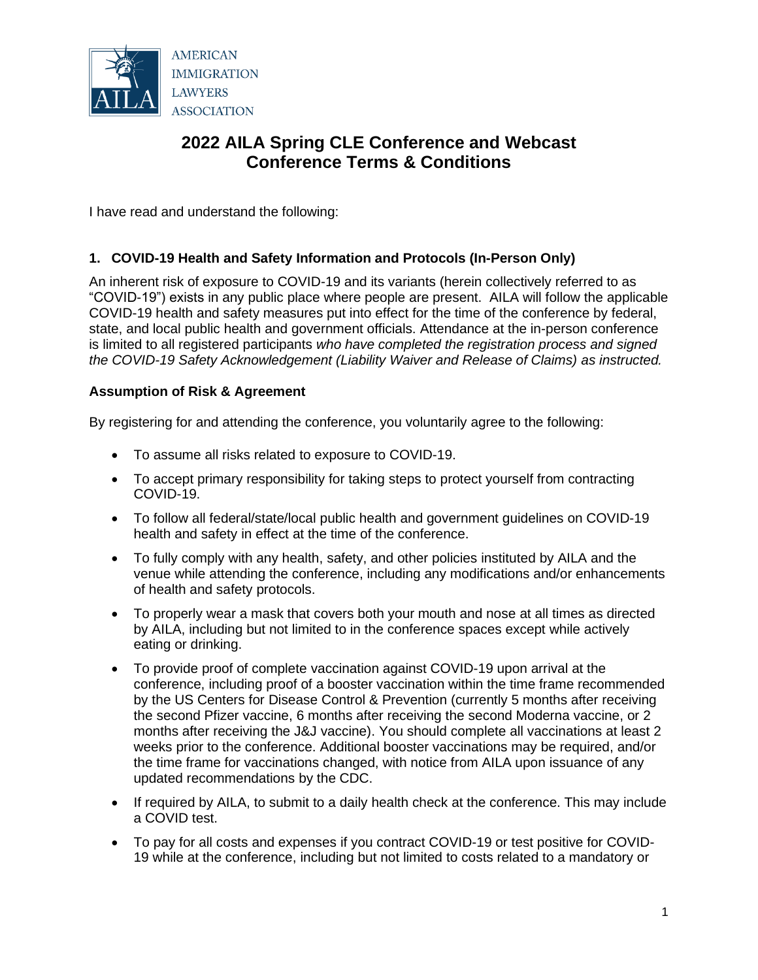

# **2022 AILA Spring CLE Conference and Webcast Conference Terms & Conditions**

I have read and understand the following:

## **1. COVID-19 Health and Safety Information and Protocols (In-Person Only)**

An inherent risk of exposure to COVID-19 and its variants (herein collectively referred to as "COVID-19") exists in any public place where people are present. AILA will follow the applicable COVID-19 health and safety measures put into effect for the time of the conference by federal, state, and local public health and government officials. Attendance at the in-person conference is limited to all registered participants *who have completed the registration process and signed the COVID-19 Safety Acknowledgement (Liability Waiver and Release of Claims) as instructed.*

## **Assumption of Risk & Agreement**

By registering for and attending the conference, you voluntarily agree to the following:

- To assume all risks related to exposure to COVID-19.
- To accept primary responsibility for taking steps to protect yourself from contracting COVID-19.
- To follow all federal/state/local public health and government guidelines on COVID-19 health and safety in effect at the time of the conference.
- To fully comply with any health, safety, and other policies instituted by AILA and the venue while attending the conference, including any modifications and/or enhancements of health and safety protocols.
- To properly wear a mask that covers both your mouth and nose at all times as directed by AILA, including but not limited to in the conference spaces except while actively eating or drinking.
- To provide proof of complete vaccination against COVID-19 upon arrival at the conference, including proof of a booster vaccination within the time frame recommended by the US Centers for Disease Control & Prevention (currently 5 months after receiving the second Pfizer vaccine, 6 months after receiving the second Moderna vaccine, or 2 months after receiving the J&J vaccine). You should complete all vaccinations at least 2 weeks prior to the conference. Additional booster vaccinations may be required, and/or the time frame for vaccinations changed, with notice from AILA upon issuance of any updated recommendations by the CDC.
- If required by AILA, to submit to a daily health check at the conference. This may include a COVID test.
- To pay for all costs and expenses if you contract COVID-19 or test positive for COVID-19 while at the conference, including but not limited to costs related to a mandatory or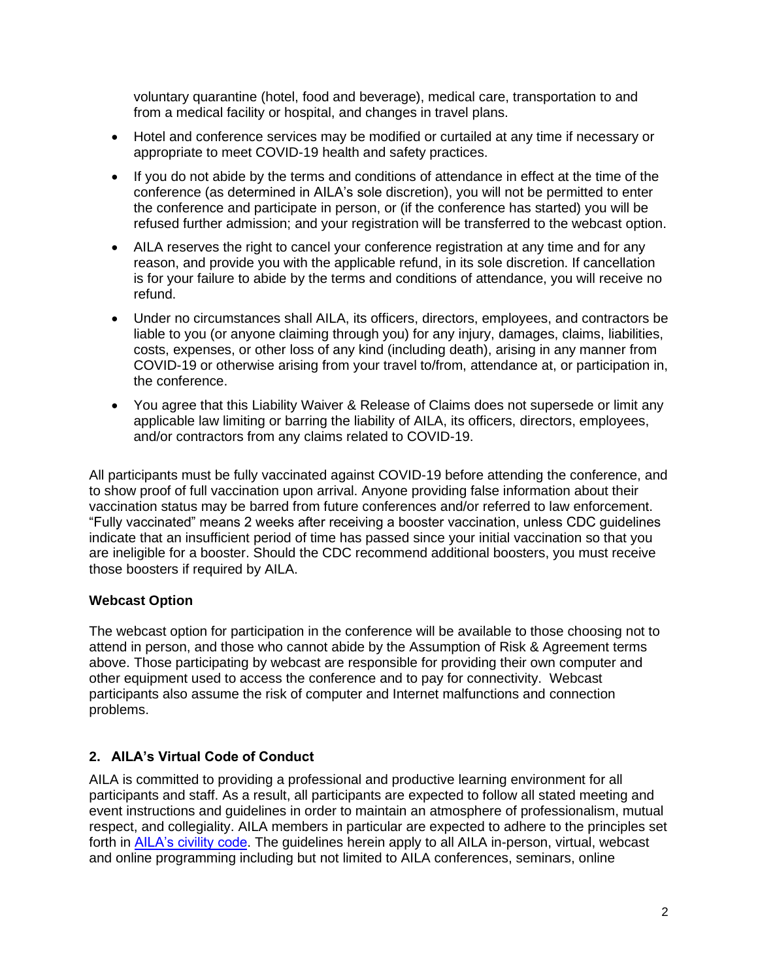voluntary quarantine (hotel, food and beverage), medical care, transportation to and from a medical facility or hospital, and changes in travel plans.

- Hotel and conference services may be modified or curtailed at any time if necessary or appropriate to meet COVID-19 health and safety practices.
- If you do not abide by the terms and conditions of attendance in effect at the time of the conference (as determined in AILA's sole discretion), you will not be permitted to enter the conference and participate in person, or (if the conference has started) you will be refused further admission; and your registration will be transferred to the webcast option.
- AILA reserves the right to cancel your conference registration at any time and for any reason, and provide you with the applicable refund, in its sole discretion. If cancellation is for your failure to abide by the terms and conditions of attendance, you will receive no refund.
- Under no circumstances shall AILA, its officers, directors, employees, and contractors be liable to you (or anyone claiming through you) for any injury, damages, claims, liabilities, costs, expenses, or other loss of any kind (including death), arising in any manner from COVID-19 or otherwise arising from your travel to/from, attendance at, or participation in, the conference.
- You agree that this Liability Waiver & Release of Claims does not supersede or limit any applicable law limiting or barring the liability of AILA, its officers, directors, employees, and/or contractors from any claims related to COVID-19.

All participants must be fully vaccinated against COVID-19 before attending the conference, and to show proof of full vaccination upon arrival. Anyone providing false information about their vaccination status may be barred from future conferences and/or referred to law enforcement. "Fully vaccinated" means 2 weeks after receiving a booster vaccination, unless CDC guidelines indicate that an insufficient period of time has passed since your initial vaccination so that you are ineligible for a booster. Should the CDC recommend additional boosters, you must receive those boosters if required by AILA.

## **Webcast Option**

The webcast option for participation in the conference will be available to those choosing not to attend in person, and those who cannot abide by the Assumption of Risk & Agreement terms above. Those participating by webcast are responsible for providing their own computer and other equipment used to access the conference and to pay for connectivity. Webcast participants also assume the risk of computer and Internet malfunctions and connection problems.

#### **2. AILA's Virtual Code of Conduct**

AILA is committed to providing a professional and productive learning environment for all participants and staff. As a result, all participants are expected to follow all stated meeting and event instructions and guidelines in order to maintain an atmosphere of professionalism, mutual respect, and collegiality. AILA members in particular are expected to adhere to the principles set forth in [AILA's civility code.](https://www.aila.org/about/leadership/policies/civility-code) The guidelines herein apply to all AILA in-person, virtual, webcast and online programming including but not limited to AILA conferences, seminars, online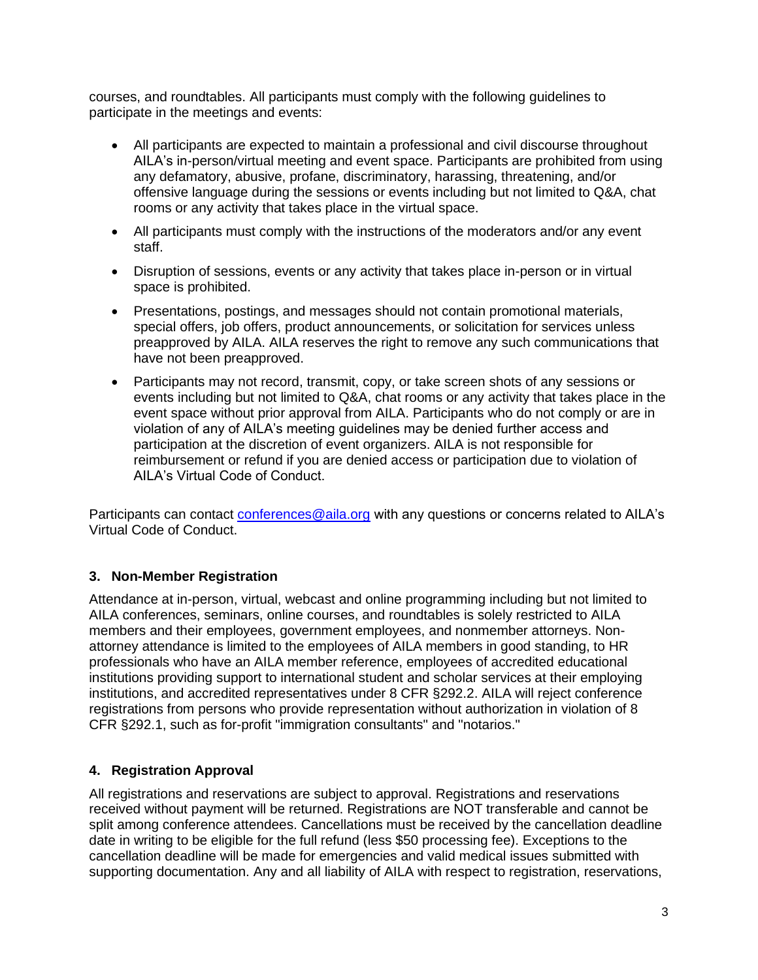courses, and roundtables. All participants must comply with the following guidelines to participate in the meetings and events:

- All participants are expected to maintain a professional and civil discourse throughout AILA's in-person/virtual meeting and event space. Participants are prohibited from using any defamatory, abusive, profane, discriminatory, harassing, threatening, and/or offensive language during the sessions or events including but not limited to Q&A, chat rooms or any activity that takes place in the virtual space.
- All participants must comply with the instructions of the moderators and/or any event staff.
- Disruption of sessions, events or any activity that takes place in-person or in virtual space is prohibited.
- Presentations, postings, and messages should not contain promotional materials, special offers, job offers, product announcements, or solicitation for services unless preapproved by AILA. AILA reserves the right to remove any such communications that have not been preapproved.
- Participants may not record, transmit, copy, or take screen shots of any sessions or events including but not limited to Q&A, chat rooms or any activity that takes place in the event space without prior approval from AILA. Participants who do not comply or are in violation of any of AILA's meeting guidelines may be denied further access and participation at the discretion of event organizers. AILA is not responsible for reimbursement or refund if you are denied access or participation due to violation of AILA's Virtual Code of Conduct.

Participants can contact [conferences@aila.org](mailto:conferences@aila.org) with any questions or concerns related to AILA's Virtual Code of Conduct.

## **3. Non-Member Registration**

Attendance at in-person, virtual, webcast and online programming including but not limited to AILA conferences, seminars, online courses, and roundtables is solely restricted to AILA members and their employees, government employees, and nonmember attorneys. Nonattorney attendance is limited to the employees of AILA members in good standing, to HR professionals who have an AILA member reference, employees of accredited educational institutions providing support to international student and scholar services at their employing institutions, and accredited representatives under 8 CFR §292.2. AILA will reject conference registrations from persons who provide representation without authorization in violation of 8 CFR §292.1, such as for-profit "immigration consultants" and "notarios."

#### **4. Registration Approval**

All registrations and reservations are subject to approval. Registrations and reservations received without payment will be returned. Registrations are NOT transferable and cannot be split among conference attendees. Cancellations must be received by the cancellation deadline date in writing to be eligible for the full refund (less \$50 processing fee). Exceptions to the cancellation deadline will be made for emergencies and valid medical issues submitted with supporting documentation. Any and all liability of AILA with respect to registration, reservations,